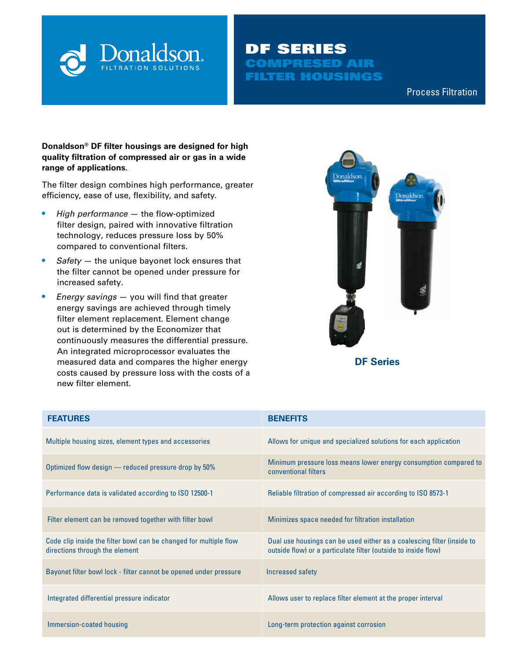

## DF SERIES COMPRESED AIR FILTER HOUSINGS

Compressed Air & Process Filtration Process Filtration

#### **Donaldson® DF filter housings are designed for high quality filtration of compressed air or gas in a wide range of applications.**

The filter design combines high performance, greater efficiency, ease of use, flexibility, and safety.

- **•** *High performance* the flow-optimized filter design, paired with innovative filtration technology, reduces pressure loss by 50% compared to conventional filters.
- **•** *Safety*  the unique bayonet lock ensures that the filter cannot be opened under pressure for increased safety.
- **•** *Energy savings* you will find that greater energy savings are achieved through timely filter element replacement. Element change out is determined by the Economizer that continuously measures the differential pressure. An integrated microprocessor evaluates the measured data and compares the higher energy costs caused by pressure loss with the costs of a new filter element.



**DF Series**

| <b>FEATURES</b>                                                                                     | <b>BENEFITS</b>                                                                                                                          |
|-----------------------------------------------------------------------------------------------------|------------------------------------------------------------------------------------------------------------------------------------------|
| Multiple housing sizes, element types and accessories                                               | Allows for unique and specialized solutions for each application                                                                         |
| Optimized flow design - reduced pressure drop by 50%                                                | Minimum pressure loss means lower energy consumption compared to<br>conventional filters                                                 |
| Performance data is validated according to ISO 12500-1                                              | Reliable filtration of compressed air according to ISO 8573-1                                                                            |
| Filter element can be removed together with filter bowl                                             | Minimizes space needed for filtration installation                                                                                       |
| Code clip inside the filter bowl can be changed for multiple flow<br>directions through the element | Dual use housings can be used either as a coalescing filter (inside to<br>outside flow) or a particulate filter (outside to inside flow) |
| Bayonet filter bowl lock - filter cannot be opened under pressure                                   | Increased safety                                                                                                                         |
| Integrated differential pressure indicator                                                          | Allows user to replace filter element at the proper interval                                                                             |
| Immersion-coated housing                                                                            | Long-term protection against corrosion                                                                                                   |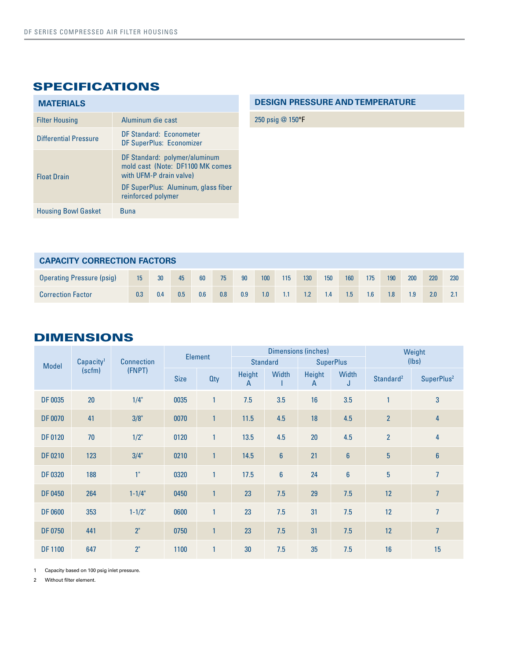# SPECIFICATIONS

| <b>MATERIALS</b>             |                                                                                                                                                           |
|------------------------------|-----------------------------------------------------------------------------------------------------------------------------------------------------------|
| <b>Filter Housing</b>        | Aluminum die cast                                                                                                                                         |
| <b>Differential Pressure</b> | DF Standard: Econometer<br>DF SuperPlus: Economizer                                                                                                       |
| <b>Float Drain</b>           | DF Standard: polymer/aluminum<br>mold cast (Note: DF1100 MK comes<br>with UFM-P drain valve)<br>DF SuperPlus: Aluminum, glass fiber<br>reinforced polymer |
| <b>Housing Bowl Gasket</b>   | <b>Buna</b>                                                                                                                                               |

#### **DESIGN PRESSURE AND TEMPERATURE**

250 psig @ 150°F

| <b>CAPACITY CORRECTION FACTORS</b> |     |     |     |     |     |     |     |     |     |     |     |     |     |                  |     |     |
|------------------------------------|-----|-----|-----|-----|-----|-----|-----|-----|-----|-----|-----|-----|-----|------------------|-----|-----|
| Operating Pressure (psig)          | 15  | 30  | 45  | 60  | 75  | 90  | 100 | 115 | 130 | 150 | 160 | 175 | 190 | 200              | 220 | 230 |
| <b>Correction Factor</b>           | 0.3 | 0.4 | 0.5 | 0.6 | 0.8 | 0.9 | 1.0 |     | 1.2 | 1.4 | 1.5 | 1.6 | 1.8 | 1.9 <sup>°</sup> | 2.0 |     |

### DIMENSIONS

| <b>Model</b>   | Capacity <sup>1</sup> | <b>Connection</b> | Element     |              |                        |                 | <b>Dimensions (inches)</b> | Weight           |                       |                        |
|----------------|-----------------------|-------------------|-------------|--------------|------------------------|-----------------|----------------------------|------------------|-----------------------|------------------------|
|                |                       |                   |             |              |                        | <b>Standard</b> | <b>SuperPlus</b>           |                  | (lbs)                 |                        |
|                | (scfm)                | (FNPT)            | <b>Size</b> | <b>Qty</b>   | Height<br>$\mathsf{A}$ | Width           | <b>Height</b><br>A         | Width<br>J       | Standard <sup>2</sup> | SuperPlus <sup>2</sup> |
| DF 0035        | 20                    | $1/4$ "           | 0035        | $\mathbf{1}$ | 7.5                    | 3.5             | 16                         | 3.5              | 1                     | 3                      |
| <b>DF 0070</b> | 41                    | 3/8"              | 0070        | 1            | 11.5                   | 4.5             | 18                         | 4.5              | $\overline{2}$        | $\overline{4}$         |
| <b>DF 0120</b> | 70                    | $1/2$ "           | 0120        | 1            | 13.5                   | 4.5             | 20                         | 4.5              | $\overline{2}$        | 4                      |
| <b>DF 0210</b> | 123                   | 3/4"              | 0210        | $\mathbf{1}$ | 14.5                   | $6\phantom{a}$  | 21                         | $\boldsymbol{6}$ | $\overline{5}$        | $\boldsymbol{6}$       |
| <b>DF 0320</b> | 188                   | 1"                | 0320        | 1            | 17.5                   | $6\phantom{1}$  | 24                         | $\boldsymbol{6}$ | $\overline{5}$        | 7                      |
| DF 0450        | 264                   | $1 - 1/4"$        | 0450        | 1            | 23                     | 7.5             | 29                         | 7.5              | 12                    | $\overline{7}$         |
| <b>DF 0600</b> | 353                   | $1 - 1/2"$        | 0600        | 1            | 23                     | 7.5             | 31                         | 7.5              | 12                    | $\overline{7}$         |
| DF 0750        | 441                   | 2"                | 0750        | 1            | 23                     | 7.5             | 31                         | 7.5              | 12                    | $\overline{7}$         |
| <b>DF1100</b>  | 647                   | 2"                | 1100        | 1            | 30                     | 7.5             | 35                         | 7.5              | 16                    | 15                     |

1 Capacity based on 100 psig inlet pressure.

2 Without filter element.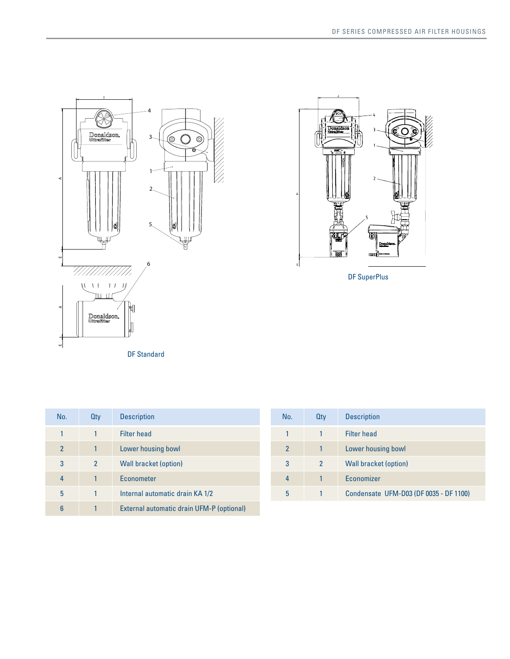



| No.           | <b>Qty</b> | <b>Description</b>                        |
|---------------|------------|-------------------------------------------|
| 1             |            | <b>Filter head</b>                        |
| $\mathcal{P}$ |            | Lower housing bowl                        |
| 3             | 2          | Wall bracket (option)                     |
| 4             |            | Econometer                                |
| 5             |            | Internal automatic drain KA 1/2           |
| 6             |            | External automatic drain UFM-P (optional) |

| No.            | <b>Qty</b>     | <b>Description</b>                     |
|----------------|----------------|----------------------------------------|
|                |                | <b>Filter head</b>                     |
| $\mathfrak{p}$ |                | Lower housing bowl                     |
| 3              | $\mathfrak{p}$ | <b>Wall bracket (option)</b>           |
| 4              |                | Economizer                             |
| 5              |                | Condensate UFM-D03 (DF 0035 - DF 1100) |